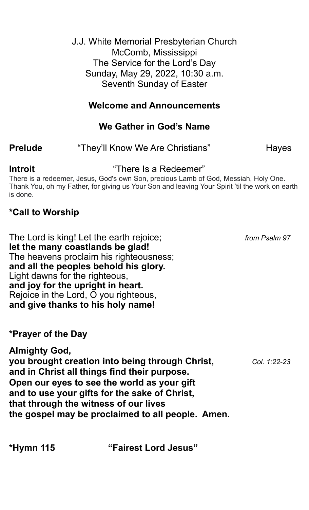J.J. White Memorial Presbyterian Church McComb, Mississippi The Service for the Lord's Day Sunday, May 29, 2022, 10:30 a.m. Seventh Sunday of Easter

## **Welcome and Announcements**

# **We Gather in God's Name**

# **Prelude** "They'll Know We Are Christians" Hayes

**Introit "There Is a Redeemer"** There Is a Redeemer" There is a redeemer, Jesus, God's own Son, precious Lamb of God, Messiah, Holy One. Thank You, oh my Father, for giving us Your Son and leaving Your Spirit 'til the work on earth is done.

# **\*Call to Worship**

The Lord is king! Let the earth rejoice; *from Psalm 97* **let the many coastlands be glad!** The heavens proclaim his righteousness; **and all the peoples behold his glory.** Light dawns for the righteous, **and joy for the upright in heart.** Rejoice in the Lord, O you righteous, **and give thanks to his holy name!** 

## **\*Prayer of the Day**

**Almighty God, you brought creation into being through Christ,** *Col. 1:22-23* **and in Christ all things find their purpose. Open our eyes to see the world as your gift and to use your gifts for the sake of Christ, that through the witness of our lives the gospel may be proclaimed to all people. Amen.**

**\*Hymn 115 "Fairest Lord Jesus"**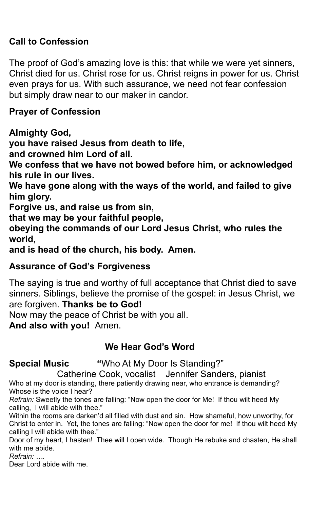# **Call to Confession**

The proof of God's amazing love is this: that while we were yet sinners, Christ died for us. Christ rose for us. Christ reigns in power for us. Christ even prays for us. With such assurance, we need not fear confession but simply draw near to our maker in candor.

## **Prayer of Confession**

**Almighty God,**

**you have raised Jesus from death to life,**

**and crowned him Lord of all.**

**We confess that we have not bowed before him, or acknowledged his rule in our lives.**

**We have gone along with the ways of the world, and failed to give him glory.**

**Forgive us, and raise us from sin,**

**that we may be your faithful people,**

**obeying the commands of our Lord Jesus Christ, who rules the world,**

**and is head of the church, his body. Amen.**

## **Assurance of God's Forgiveness**

The saying is true and worthy of full acceptance that Christ died to save sinners. Siblings, believe the promise of the gospel: in Jesus Christ, we are forgiven. **Thanks be to God!**

Now may the peace of Christ be with you all.

**And also with you!** Amen.

## **We Hear God's Word**

# **Special Music "**Who At My Door Is Standing?"

Catherine Cook, vocalist Jennifer Sanders, pianist

Who at my door is standing, there patiently drawing near, who entrance is demanding? Whose is the voice I hear?

*Refrain:* Sweetly the tones are falling: "Now open the door for Me! If thou wilt heed My calling, I will abide with thee."

Within the rooms are darken'd all filled with dust and sin. How shameful, how unworthy, for Christ to enter in. Yet, the tones are falling: "Now open the door for me! If thou wilt heed My calling I will abide with thee."

Door of my heart, I hasten! Thee will I open wide. Though He rebuke and chasten, He shall with me abide.

*Refrain: ….*

Dear Lord abide with me.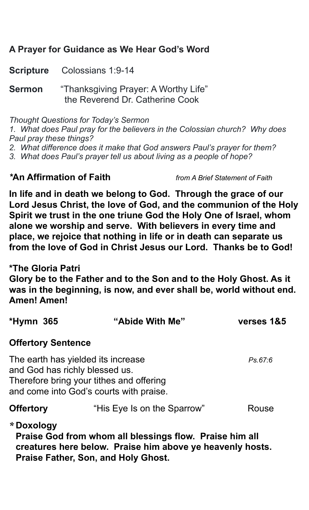# **A Prayer for Guidance as We Hear God's Word**

**Scripture** Colossians 1:9-14

**Sermon** "Thanksgiving Prayer: A Worthy Life" the Reverend Dr. Catherine Cook

*Thought Questions for Today's Sermon*

*1. What does Paul pray for the believers in the Colossian church? Why does Paul pray these things?*

*2. What difference does it make that God answers Paul's prayer for them?*

*3. What does Paul's prayer tell us about living as a people of hope?*

#### *\****An Affirmation of Faith** *from A Brief Statement of Faith*

**In life and in death we belong to God. Through the grace of our Lord Jesus Christ, the love of God, and the communion of the Holy Spirit we trust in the one triune God the Holy One of Israel, whom alone we worship and serve. With believers in every time and place, we rejoice that nothing in life or in death can separate us from the love of God in Christ Jesus our Lord. Thanks be to God!**

**\*The Gloria Patri** 

**Glory be to the Father and to the Son and to the Holy Ghost. As it was in the beginning, is now, and ever shall be, world without end. Amen! Amen!** 

| *Hymn 365                 | "Abide With Me"                                                                                                                                                    | verses 1&5 |
|---------------------------|--------------------------------------------------------------------------------------------------------------------------------------------------------------------|------------|
| <b>Offertory Sentence</b> |                                                                                                                                                                    |            |
|                           | The earth has yielded its increase<br>and God has richly blessed us.<br>Therefore bring your tithes and offering<br>and come into God's courts with praise.        | Ps.67:6    |
| <b>Offertory</b>          | "His Eye Is on the Sparrow"                                                                                                                                        | Rouse      |
| * Doxology                | Praise God from whom all blessings flow. Praise him all<br>creatures here below. Praise him above ye heavenly hosts.<br><b>Praise Father, Son, and Holy Ghost.</b> |            |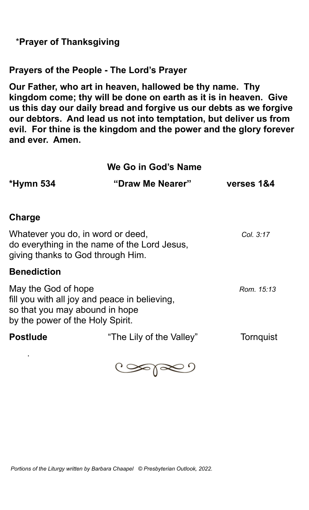\***Prayer of Thanksgiving**

**Prayers of the People - The Lord's Prayer**

**Our Father, who art in heaven, hallowed be thy name. Thy kingdom come; thy will be done on earth as it is in heaven. Give us this day our daily bread and forgive us our debts as we forgive our debtors. And lead us not into temptation, but deliver us from evil. For thine is the kingdom and the power and the glory forever and ever. Amen.**

| <b>*Hymn 534</b>                                                                          | "Draw Me Nearer"                              | verses 1&4 |
|-------------------------------------------------------------------------------------------|-----------------------------------------------|------------|
| Charge                                                                                    |                                               |            |
| Whatever you do, in word or deed,<br>giving thanks to God through Him.                    | do everything in the name of the Lord Jesus,  | Col. 3:17  |
| <b>Benediction</b>                                                                        |                                               |            |
| May the God of hope<br>so that you may abound in hope<br>by the power of the Holy Spirit. | fill you with all joy and peace in believing, | Rom. 15:13 |
| <b>Postlude</b>                                                                           | "The Lily of the Valley"                      | Tornquist  |
|                                                                                           |                                               |            |

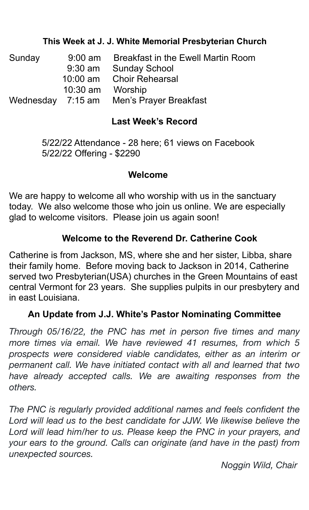## **This Week at J. J. White Memorial Presbyterian Church**

| Sunday | $9:00 \text{ am}$ | Breakfast in the Ewell Martin Room       |
|--------|-------------------|------------------------------------------|
|        |                   | 9:30 am Sunday School                    |
|        |                   | 10:00 am Choir Rehearsal                 |
|        | 10:30 am Worship  |                                          |
|        |                   | Wednesday 7:15 am Men's Prayer Breakfast |
|        |                   |                                          |

## **Last Week's Record**

5/22/22 Attendance - 28 here; 61 views on Facebook 5/22/22 Offering - \$2290

## **Welcome**

We are happy to welcome all who worship with us in the sanctuary today. We also welcome those who join us online. We are especially glad to welcome visitors. Please join us again soon!

## **Welcome to the Reverend Dr. Catherine Cook**

Catherine is from Jackson, MS, where she and her sister, Libba, share their family home. Before moving back to Jackson in 2014, Catherine served two Presbyterian(USA) churches in the Green Mountains of east central Vermont for 23 years. She supplies pulpits in our presbytery and in east Louisiana.

## **An Update from J.J. White's Pastor Nominating Committee**

*Through 05/16/22, the PNC has met in person five times and many more times via email. We have reviewed 41 resumes, from which 5 prospects were considered viable candidates, either as an interim or permanent call. We have initiated contact with all and learned that two have already accepted calls. We are awaiting responses from the others.* 

*The PNC is regularly provided additional names and feels confident the*  Lord will lead us to the best candidate for JJW. We likewise believe the Lord will lead him/her to us. Please keep the PNC in your prayers, and *your ears to the ground. Calls can originate (and have in the past) from unexpected sources.* 

 *Noggin Wild, Chair*